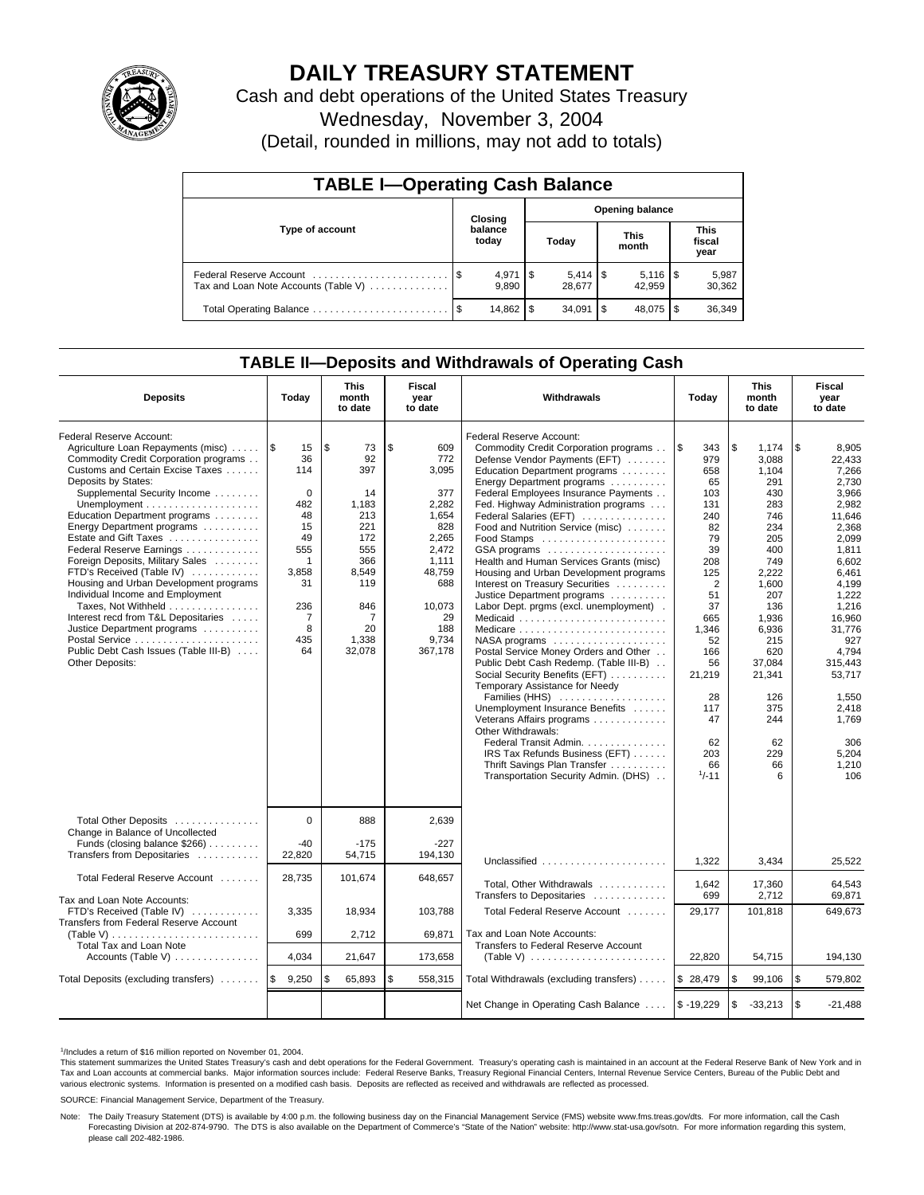

# **DAILY TREASURY STATEMENT**

Cash and debt operations of the United States Treasury

Wednesday, November 3, 2004

(Detail, rounded in millions, may not add to totals)

| <b>TABLE I-Operating Cash Balance</b>                           |                                   |                      |   |                     |      |                      |                               |                 |  |  |
|-----------------------------------------------------------------|-----------------------------------|----------------------|---|---------------------|------|----------------------|-------------------------------|-----------------|--|--|
|                                                                 | <b>Opening balance</b><br>Closing |                      |   |                     |      |                      |                               |                 |  |  |
| Type of account                                                 |                                   | balance<br>today     |   | Today               |      | <b>This</b><br>month | <b>This</b><br>fiscal<br>year |                 |  |  |
| Federal Reserve Account<br>Tax and Loan Note Accounts (Table V) |                                   | $4,971$ \\$<br>9.890 |   | $5.414$ S<br>28.677 |      | 42.959               |                               | 5,987<br>30,362 |  |  |
| Total Operating Balance                                         | - \$                              | 14.862               | S | 34.091              | l \$ | 48.075               |                               | 36,349          |  |  |

## **TABLE II—Deposits and Withdrawals of Operating Cash**

| <b>Deposits</b>                                                                                                                                                                                                                                                                                                                                                                                                                                                                                                                                                                                                                | Today                                                                                                                              | <b>This</b><br>month<br>to date                                                                                                | Fiscal<br>year<br>to date                                                                                                                        | <b>Withdrawals</b>                                                                                                                                                                                                                                                                                                                                                                                                                                                                                                                                                                                                                                                                                                                                                                                                                                                                                                                                                                            | Today                                                                                                                                                                                               | <b>This</b><br>month<br>to date                                                                                                                                                                                        | Fiscal<br>year<br>to date                                                                                                                                                                                                                                       |
|--------------------------------------------------------------------------------------------------------------------------------------------------------------------------------------------------------------------------------------------------------------------------------------------------------------------------------------------------------------------------------------------------------------------------------------------------------------------------------------------------------------------------------------------------------------------------------------------------------------------------------|------------------------------------------------------------------------------------------------------------------------------------|--------------------------------------------------------------------------------------------------------------------------------|--------------------------------------------------------------------------------------------------------------------------------------------------|-----------------------------------------------------------------------------------------------------------------------------------------------------------------------------------------------------------------------------------------------------------------------------------------------------------------------------------------------------------------------------------------------------------------------------------------------------------------------------------------------------------------------------------------------------------------------------------------------------------------------------------------------------------------------------------------------------------------------------------------------------------------------------------------------------------------------------------------------------------------------------------------------------------------------------------------------------------------------------------------------|-----------------------------------------------------------------------------------------------------------------------------------------------------------------------------------------------------|------------------------------------------------------------------------------------------------------------------------------------------------------------------------------------------------------------------------|-----------------------------------------------------------------------------------------------------------------------------------------------------------------------------------------------------------------------------------------------------------------|
| Federal Reserve Account:<br>Agriculture Loan Repayments (misc)<br>Commodity Credit Corporation programs<br>Customs and Certain Excise Taxes<br>Deposits by States:<br>Supplemental Security Income<br>Education Department programs<br>Energy Department programs<br>Estate and Gift Taxes<br>Federal Reserve Earnings<br>Foreign Deposits, Military Sales<br>FTD's Received (Table IV)<br>Housing and Urban Development programs<br>Individual Income and Employment<br>Taxes, Not Withheld<br>Interest recd from T&L Depositaries<br>Justice Department programs<br>Public Debt Cash Issues (Table III-B)<br>Other Deposits: | 1\$<br>15<br>36<br>114<br>$\mathbf 0$<br>482<br>48<br>15<br>49<br>555<br>$\mathbf{1}$<br>3,858<br>31<br>236<br>7<br>8<br>435<br>64 | l \$<br>73<br>92<br>397<br>14<br>1,183<br>213<br>221<br>172<br>555<br>366<br>8,549<br>119<br>846<br>7<br>20<br>1,338<br>32,078 | \$<br>609<br>772<br>3,095<br>377<br>2,282<br>1.654<br>828<br>2,265<br>2,472<br>1,111<br>48,759<br>688<br>10.073<br>29<br>188<br>9,734<br>367,178 | Federal Reserve Account:<br>Commodity Credit Corporation programs<br>Defense Vendor Payments (EFT)<br>Education Department programs<br>Energy Department programs<br>Federal Employees Insurance Payments<br>Fed. Highway Administration programs<br>Federal Salaries (EFT)<br>Food and Nutrition Service (misc)<br>Food Stamps<br>GSA programs<br>Health and Human Services Grants (misc)<br>Housing and Urban Development programs<br>Interest on Treasury Securities<br>Justice Department programs<br>Labor Dept. prgms (excl. unemployment).<br>Medicaid<br>Medicare<br>NASA programs<br>Postal Service Money Orders and Other<br>Public Debt Cash Redemp. (Table III-B)<br>Social Security Benefits (EFT)<br>Temporary Assistance for Needy<br>Families (HHS)<br>Unemployment Insurance Benefits<br>Veterans Affairs programs<br>Other Withdrawals:<br>Federal Transit Admin.<br>IRS Tax Refunds Business (EFT)<br>Thrift Savings Plan Transfer<br>Transportation Security Admin. (DHS) | l \$<br>343<br>979<br>658<br>65<br>103<br>131<br>240<br>82<br>79<br>39<br>208<br>125<br>2<br>51<br>37<br>665<br>1,346<br>52<br>166<br>56<br>21,219<br>28<br>117<br>47<br>62<br>203<br>66<br>$1/-11$ | \$<br>1.174<br>3.088<br>1,104<br>291<br>430<br>283<br>746<br>234<br>205<br>400<br>749<br>2,222<br>1.600<br>207<br>136<br>1,936<br>6,936<br>215<br>620<br>37.084<br>21,341<br>126<br>375<br>244<br>62<br>229<br>66<br>6 | \$<br>8,905<br>22,433<br>7,266<br>2.730<br>3,966<br>2,982<br>11.646<br>2,368<br>2,099<br>1,811<br>6,602<br>6,461<br>4.199<br>1,222<br>1.216<br>16,960<br>31,776<br>927<br>4.794<br>315.443<br>53.717<br>1,550<br>2,418<br>1.769<br>306<br>5,204<br>1,210<br>106 |
| Total Other Deposits<br>Change in Balance of Uncollected<br>Funds (closing balance \$266)<br>Transfers from Depositaries                                                                                                                                                                                                                                                                                                                                                                                                                                                                                                       | $\Omega$<br>$-40$<br>22,820                                                                                                        | 888<br>$-175$<br>54,715                                                                                                        | 2,639<br>$-227$<br>194,130                                                                                                                       |                                                                                                                                                                                                                                                                                                                                                                                                                                                                                                                                                                                                                                                                                                                                                                                                                                                                                                                                                                                               |                                                                                                                                                                                                     |                                                                                                                                                                                                                        |                                                                                                                                                                                                                                                                 |
| Total Federal Reserve Account                                                                                                                                                                                                                                                                                                                                                                                                                                                                                                                                                                                                  | 28.735                                                                                                                             | 101,674                                                                                                                        | 648,657                                                                                                                                          | Unclassified<br>Total, Other Withdrawals                                                                                                                                                                                                                                                                                                                                                                                                                                                                                                                                                                                                                                                                                                                                                                                                                                                                                                                                                      | 1,322<br>1,642                                                                                                                                                                                      | 3,434<br>17,360                                                                                                                                                                                                        | 25,522<br>64,543                                                                                                                                                                                                                                                |
| Tax and Loan Note Accounts:<br>FTD's Received (Table IV)<br>Transfers from Federal Reserve Account                                                                                                                                                                                                                                                                                                                                                                                                                                                                                                                             | 3,335<br>699                                                                                                                       | 18,934<br>2,712                                                                                                                | 103,788<br>69,871                                                                                                                                | Transfers to Depositaries<br>Total Federal Reserve Account<br>Tax and Loan Note Accounts:                                                                                                                                                                                                                                                                                                                                                                                                                                                                                                                                                                                                                                                                                                                                                                                                                                                                                                     | 699<br>29,177                                                                                                                                                                                       | 2,712<br>101,818                                                                                                                                                                                                       | 69,871<br>649,673                                                                                                                                                                                                                                               |
| Total Tax and Loan Note<br>Accounts (Table V)                                                                                                                                                                                                                                                                                                                                                                                                                                                                                                                                                                                  | 4.034                                                                                                                              | 21,647                                                                                                                         | 173.658                                                                                                                                          | Transfers to Federal Reserve Account<br>(Table V) $\ldots \ldots \ldots \ldots \ldots \ldots \ldots$                                                                                                                                                                                                                                                                                                                                                                                                                                                                                                                                                                                                                                                                                                                                                                                                                                                                                          | 22.820                                                                                                                                                                                              | 54,715                                                                                                                                                                                                                 | 194,130                                                                                                                                                                                                                                                         |
| Total Deposits (excluding transfers)                                                                                                                                                                                                                                                                                                                                                                                                                                                                                                                                                                                           | \$<br>9,250                                                                                                                        | 65,893<br>\$                                                                                                                   | \$<br>558,315                                                                                                                                    | Total Withdrawals (excluding transfers)                                                                                                                                                                                                                                                                                                                                                                                                                                                                                                                                                                                                                                                                                                                                                                                                                                                                                                                                                       | \$28,479                                                                                                                                                                                            | \$<br>99,106                                                                                                                                                                                                           | ۱\$<br>579,802                                                                                                                                                                                                                                                  |
|                                                                                                                                                                                                                                                                                                                                                                                                                                                                                                                                                                                                                                |                                                                                                                                    |                                                                                                                                |                                                                                                                                                  | Net Change in Operating Cash Balance                                                                                                                                                                                                                                                                                                                                                                                                                                                                                                                                                                                                                                                                                                                                                                                                                                                                                                                                                          | $$ -19,229$                                                                                                                                                                                         | \$<br>$-33,213$                                                                                                                                                                                                        | l \$<br>$-21,488$                                                                                                                                                                                                                                               |

1 /Includes a return of \$16 million reported on November 01, 2004.

This statement summarizes the United States Treasury's cash and debt operations for the Federal Government. Treasury's operating cash is maintained in an account at the Federal Reserve Bank of New York and in Tax and Loan accounts at commercial banks. Major information sources include: Federal Reserve Banks, Treasury Regional Financial Centers, Internal Revenue Service Centers, Bureau of the Public Debt and<br>various electronic s

SOURCE: Financial Management Service, Department of the Treasury.

Note: The Daily Treasury Statement (DTS) is available by 4:00 p.m. the following business day on the Financial Management Service (FMS) website www.fms.treas.gov/dts. For more information, call the Cash<br>Forecasting Divisio please call 202-482-1986.